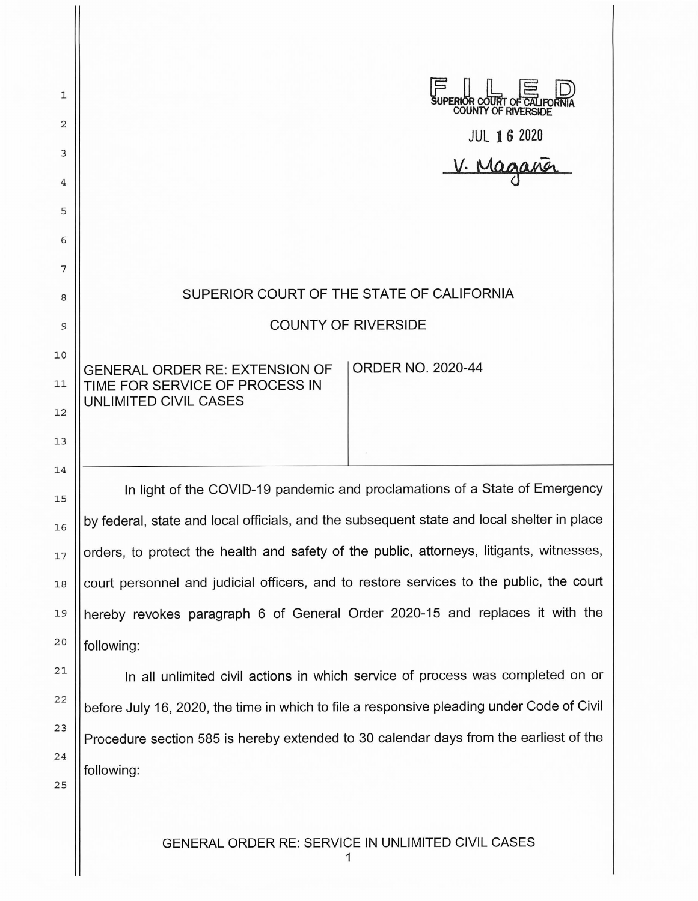| 1        | UPERIOR COURT OF CALIFO                                                                    |
|----------|--------------------------------------------------------------------------------------------|
| 2        |                                                                                            |
| 3        | JUL 16 2020                                                                                |
| 4        |                                                                                            |
| 5        |                                                                                            |
| 6        |                                                                                            |
| 7        | SUPERIOR COURT OF THE STATE OF CALIFORNIA                                                  |
| 8        | <b>COUNTY OF RIVERSIDE</b>                                                                 |
| 9        |                                                                                            |
| 10       | <b>ORDER NO. 2020-44</b><br><b>GENERAL ORDER RE: EXTENSION OF</b>                          |
| 11<br>12 | TIME FOR SERVICE OF PROCESS IN<br>UNLIMITED CIVIL CASES                                    |
| 13       |                                                                                            |
| 14       |                                                                                            |
| 15       | In light of the COVID-19 pandemic and proclamations of a State of Emergency                |
| 16       | by federal, state and local officials, and the subsequent state and local shelter in place |
| 17       | orders, to protect the health and safety of the public, attorneys, litigants, witnesses,   |
| 18       | court personnel and judicial officers, and to restore services to the public, the court    |
| 19       | hereby revokes paragraph 6 of General Order 2020-15 and replaces it with the               |
| 20       | following:                                                                                 |
| 21       | In all unlimited civil actions in which service of process was completed on or             |
| 22       | before July 16, 2020, the time in which to file a responsive pleading under Code of Civil  |
| 23       | Procedure section 585 is hereby extended to 30 calendar days from the earliest of the      |
| 24       |                                                                                            |
|          | following:                                                                                 |

2 5

GENERAL ORDER RE: SERVICE IN UNLIMITED CIVIL CASES

1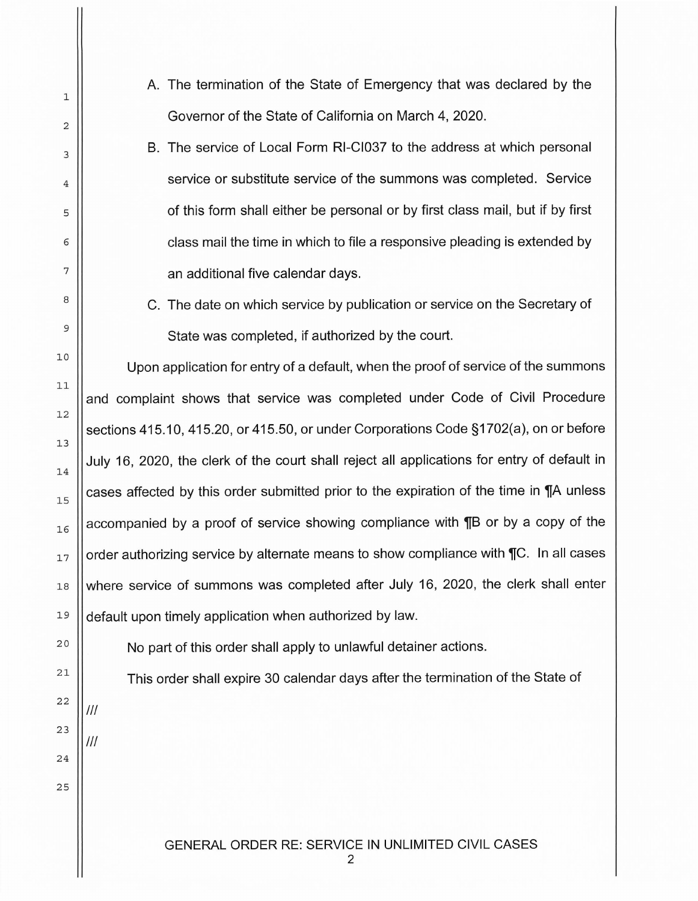- A. The termination of the State of Emergency that was declared by the Governor of the State of California on March 4, 2020.
- B. The service of Local Form RI-CI037 to the address at which personal service or substitute service of the summons was completed. Service of this form shall either be personal or by first class mail, but if by first class mail the time in which to file a responsive pleading is extended by an additional five calendar days.
- C. The date on which service by publication or service on the Secretary of State was completed, if authorized by the court.

Upon application for entry of a default, when the proof of service of the summons and complaint shows that service was completed under Code of Civil Procedure sections 415.10, 415.20, or 415.50, or under Corporations Code §1702(a), on or before July 16, 2020, the clerk of the court shall reject all applications for entry of default in cases affected by this order submitted prior to the expiration of the time in **T**A unless accompanied by a proof of service showing compliance with **THE** or by a copy of the order authorizing service by alternate means to show compliance with  $\mathcal{T}C$ . In all cases where service of summons was completed after July 16, 2020, the clerk shall enter default upon timely application when authorized by law.

20

1

2

3

4

5

6

7

8

9

10

11

12

13

14

15

16

17

18

19

21

22

23

24

25

No part of this order shall apply to unlawful detainer actions.

This order shall expire 30 calendar days after the termination of the State of

Ill

Ill

GENERAL ORDER RE: SERVICE IN UNLIMITED CIVIL CASES

2